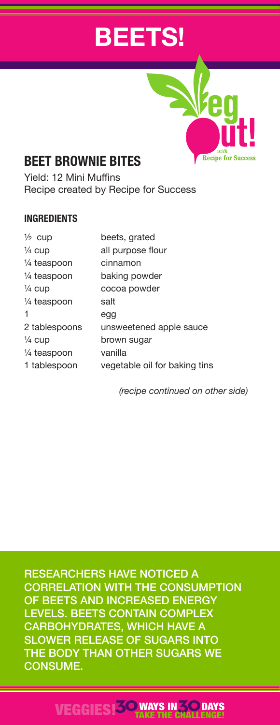# **BEETS!**



# **BEET BROWNIE BITES**

Yield: 12 Mini Muffins Recipe created by Recipe for Success

#### **INGREDIENTS**

| $\frac{1}{2}$ cup | beets, grated                 |
|-------------------|-------------------------------|
| $\frac{1}{4}$ cup | all purpose flour             |
| 1/4 teaspoon      | cinnamon                      |
| 1/4 teaspoon      | baking powder                 |
| $\frac{1}{4}$ cup | cocoa powder                  |
| 1/4 teaspoon      | salt                          |
| 1                 | egg                           |
| 2 tablespoons     | unsweetened apple sauce       |
| $\frac{1}{4}$ cup | brown sugar                   |
| 1/4 teaspoon      | vanilla                       |
| 1 tablespoon      | vegetable oil for baking tins |

*(recipe continued on other side)*

RESEARCHERS HAVE NOTICED A CORRELATION WITH THE CONSUMPTION OF BEETS AND INCREASED ENERGY LEVELS. BEETS CONTAIN COMPLEX CARBOHYDRATES, WHICH HAVE A SLOWER RELEASE OF SUGARS INTO THE BODY THAN OTHER SUGARS WE CONSUME.